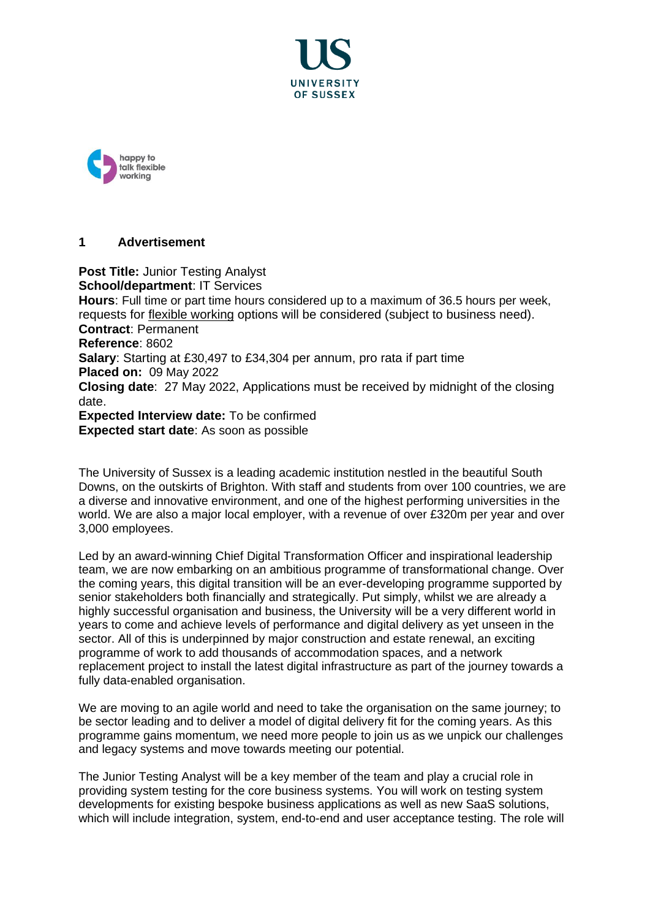



## **1 Advertisement**

**Post Title:** Junior Testing Analyst **School/department**: IT Services **Hours**: Full time or part time hours considered up to a maximum of 36.5 hours per week, requests for [flexible working](http://www.sussex.ac.uk/humanresources/personnel/flexible-working) options will be considered (subject to business need). **Contract**: Permanent **Reference**: 8602 **Salary**: Starting at £30,497 to £34,304 per annum, pro rata if part time **Placed on:** 09 May 2022 **Closing date**: 27 May 2022, Applications must be received by midnight of the closing date. **Expected Interview date:** To be confirmed **Expected start date**: As soon as possible

The University of Sussex is a leading academic institution nestled in the beautiful South Downs, on the outskirts of Brighton. With staff and students from over 100 countries, we are a diverse and innovative environment, and one of the highest performing universities in the world. We are also a major local employer, with a revenue of over £320m per year and over 3,000 employees.

Led by an award-winning Chief Digital Transformation Officer and inspirational leadership team, we are now embarking on an ambitious programme of transformational change. Over the coming years, this digital transition will be an ever-developing programme supported by senior stakeholders both financially and strategically. Put simply, whilst we are already a highly successful organisation and business, the University will be a very different world in years to come and achieve levels of performance and digital delivery as yet unseen in the sector. All of this is underpinned by major construction and estate renewal, an exciting programme of work to add thousands of accommodation spaces, and a network replacement project to install the latest digital infrastructure as part of the journey towards a fully data-enabled organisation.

We are moving to an agile world and need to take the organisation on the same journey; to be sector leading and to deliver a model of digital delivery fit for the coming years. As this programme gains momentum, we need more people to join us as we unpick our challenges and legacy systems and move towards meeting our potential.

The Junior Testing Analyst will be a key member of the team and play a crucial role in providing system testing for the core business systems. You will work on testing system developments for existing bespoke business applications as well as new SaaS solutions, which will include integration, system, end-to-end and user acceptance testing. The role will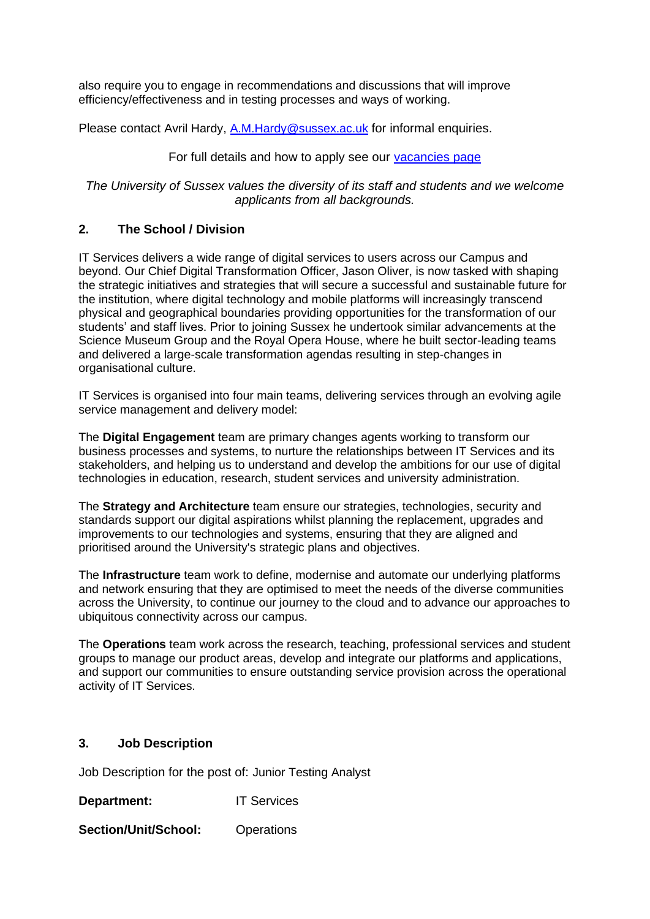also require you to engage in recommendations and discussions that will improve efficiency/effectiveness and in testing processes and ways of working.

Please contact Avril Hardy, [A.M.Hardy@sussex.ac.uk](mailto:A.M.Hardy@sussex.ac.uk) for informal enquiries.

# For full details and how to apply see our [vacancies page](http://www.sussex.ac.uk/about/jobs)

*The University of Sussex values the diversity of its staff and students and we welcome applicants from all backgrounds.*

# **2. The School / Division**

IT Services delivers a wide range of digital services to users across our Campus and beyond. Our Chief Digital Transformation Officer, Jason Oliver, is now tasked with shaping the strategic initiatives and strategies that will secure a successful and sustainable future for the institution, where digital technology and mobile platforms will increasingly transcend physical and geographical boundaries providing opportunities for the transformation of our students' and staff lives. Prior to joining Sussex he undertook similar advancements at the Science Museum Group and the Royal Opera House, where he built sector-leading teams and delivered a large-scale transformation agendas resulting in step-changes in organisational culture.

IT Services is organised into four main teams, delivering services through an evolving agile service management and delivery model:

The **Digital Engagement** team are primary changes agents working to transform our business processes and systems, to nurture the relationships between IT Services and its stakeholders, and helping us to understand and develop the ambitions for our use of digital technologies in education, research, student services and university administration.

The **Strategy and Architecture** team ensure our strategies, technologies, security and standards support our digital aspirations whilst planning the replacement, upgrades and improvements to our technologies and systems, ensuring that they are aligned and prioritised around the University's strategic plans and objectives.

The **Infrastructure** team work to define, modernise and automate our underlying platforms and network ensuring that they are optimised to meet the needs of the diverse communities across the University, to continue our journey to the cloud and to advance our approaches to ubiquitous connectivity across our campus.

The **Operations** team work across the research, teaching, professional services and student groups to manage our product areas, develop and integrate our platforms and applications, and support our communities to ensure outstanding service provision across the operational activity of IT Services.

## **3. Job Description**

Job Description for the post of: Junior Testing Analyst

**Department:** IT Services

**Section/Unit/School:** Operations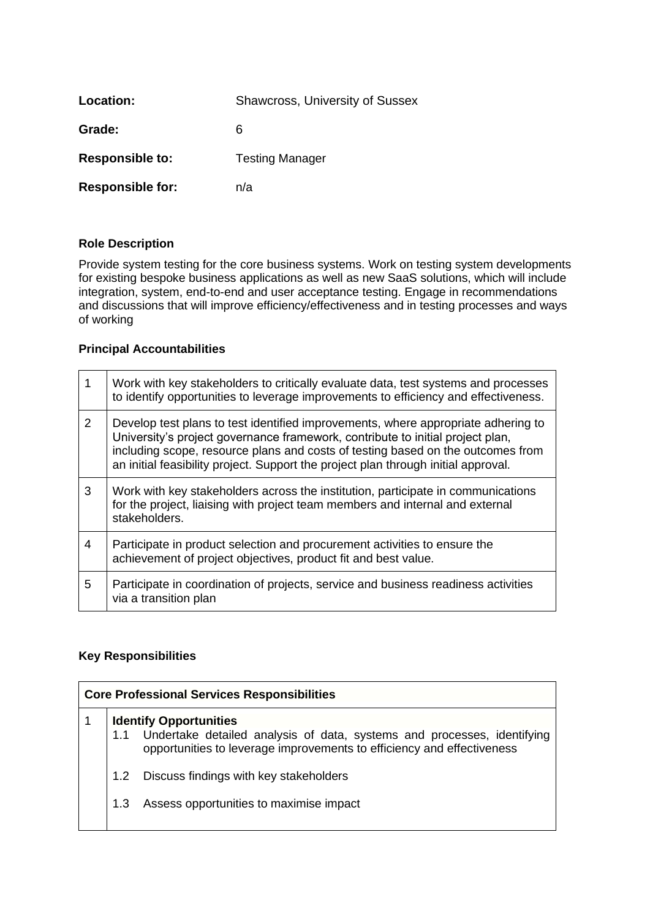| Location:               | <b>Shawcross, University of Sussex</b> |
|-------------------------|----------------------------------------|
| Grade:                  | 6                                      |
| <b>Responsible to:</b>  | <b>Testing Manager</b>                 |
| <b>Responsible for:</b> | n/a                                    |

#### **Role Description**

Provide system testing for the core business systems. Work on testing system developments for existing bespoke business applications as well as new SaaS solutions, which will include integration, system, end-to-end and user acceptance testing. Engage in recommendations and discussions that will improve efficiency/effectiveness and in testing processes and ways of working

#### **Principal Accountabilities**

| 1              | Work with key stakeholders to critically evaluate data, test systems and processes<br>to identify opportunities to leverage improvements to efficiency and effectiveness.                                                                                                                                                                    |
|----------------|----------------------------------------------------------------------------------------------------------------------------------------------------------------------------------------------------------------------------------------------------------------------------------------------------------------------------------------------|
| $\overline{2}$ | Develop test plans to test identified improvements, where appropriate adhering to<br>University's project governance framework, contribute to initial project plan,<br>including scope, resource plans and costs of testing based on the outcomes from<br>an initial feasibility project. Support the project plan through initial approval. |
| 3              | Work with key stakeholders across the institution, participate in communications<br>for the project, liaising with project team members and internal and external<br>stakeholders.                                                                                                                                                           |
| 4              | Participate in product selection and procurement activities to ensure the<br>achievement of project objectives, product fit and best value.                                                                                                                                                                                                  |
| 5              | Participate in coordination of projects, service and business readiness activities<br>via a transition plan                                                                                                                                                                                                                                  |

#### **Key Responsibilities**

| <b>Core Professional Services Responsibilities</b> |                  |                                                                                                                                                                                        |
|----------------------------------------------------|------------------|----------------------------------------------------------------------------------------------------------------------------------------------------------------------------------------|
|                                                    |                  | <b>Identify Opportunities</b><br>1.1 Undertake detailed analysis of data, systems and processes, identifying<br>opportunities to leverage improvements to efficiency and effectiveness |
|                                                    | 1.2 <sub>2</sub> | Discuss findings with key stakeholders                                                                                                                                                 |
|                                                    | 1.3              | Assess opportunities to maximise impact                                                                                                                                                |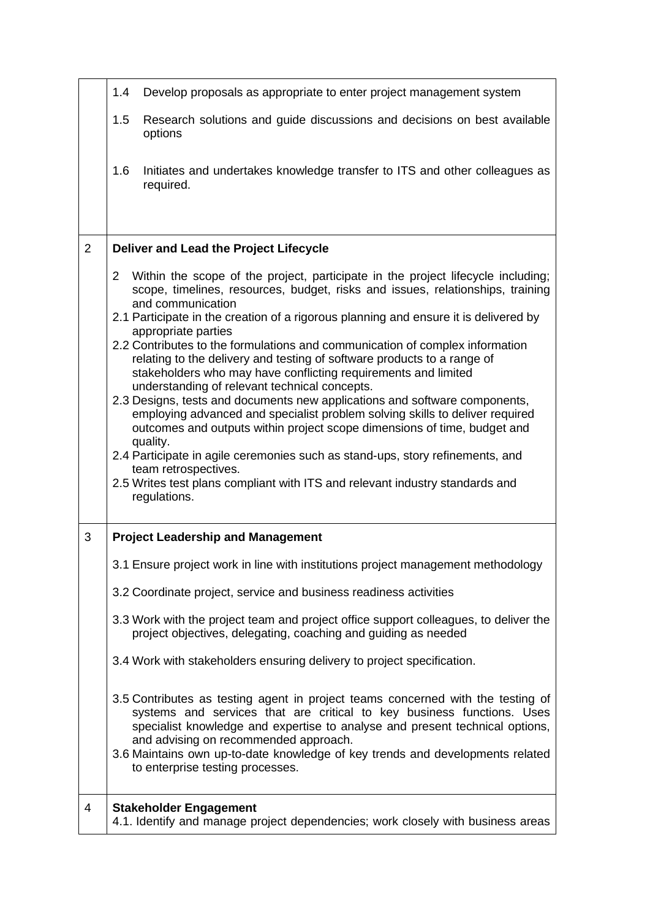|                | 1.4<br>Develop proposals as appropriate to enter project management system                                                                                                                                                                                                                                                                                                                                                                                                                                                                                                                                                                                                                                                                                                                                                                                                                                                                                                                                                                                            |
|----------------|-----------------------------------------------------------------------------------------------------------------------------------------------------------------------------------------------------------------------------------------------------------------------------------------------------------------------------------------------------------------------------------------------------------------------------------------------------------------------------------------------------------------------------------------------------------------------------------------------------------------------------------------------------------------------------------------------------------------------------------------------------------------------------------------------------------------------------------------------------------------------------------------------------------------------------------------------------------------------------------------------------------------------------------------------------------------------|
|                | 1.5<br>Research solutions and guide discussions and decisions on best available<br>options                                                                                                                                                                                                                                                                                                                                                                                                                                                                                                                                                                                                                                                                                                                                                                                                                                                                                                                                                                            |
|                | 1.6<br>Initiates and undertakes knowledge transfer to ITS and other colleagues as<br>required.                                                                                                                                                                                                                                                                                                                                                                                                                                                                                                                                                                                                                                                                                                                                                                                                                                                                                                                                                                        |
| $\overline{2}$ | Deliver and Lead the Project Lifecycle                                                                                                                                                                                                                                                                                                                                                                                                                                                                                                                                                                                                                                                                                                                                                                                                                                                                                                                                                                                                                                |
|                | Within the scope of the project, participate in the project lifecycle including;<br>$\overline{2}$<br>scope, timelines, resources, budget, risks and issues, relationships, training<br>and communication<br>2.1 Participate in the creation of a rigorous planning and ensure it is delivered by<br>appropriate parties<br>2.2 Contributes to the formulations and communication of complex information<br>relating to the delivery and testing of software products to a range of<br>stakeholders who may have conflicting requirements and limited<br>understanding of relevant technical concepts.<br>2.3 Designs, tests and documents new applications and software components,<br>employing advanced and specialist problem solving skills to deliver required<br>outcomes and outputs within project scope dimensions of time, budget and<br>quality.<br>2.4 Participate in agile ceremonies such as stand-ups, story refinements, and<br>team retrospectives.<br>2.5 Writes test plans compliant with ITS and relevant industry standards and<br>regulations. |
| 3              | <b>Project Leadership and Management</b>                                                                                                                                                                                                                                                                                                                                                                                                                                                                                                                                                                                                                                                                                                                                                                                                                                                                                                                                                                                                                              |
|                | 3.1 Ensure project work in line with institutions project management methodology                                                                                                                                                                                                                                                                                                                                                                                                                                                                                                                                                                                                                                                                                                                                                                                                                                                                                                                                                                                      |
|                | 3.2 Coordinate project, service and business readiness activities                                                                                                                                                                                                                                                                                                                                                                                                                                                                                                                                                                                                                                                                                                                                                                                                                                                                                                                                                                                                     |
|                | 3.3 Work with the project team and project office support colleagues, to deliver the<br>project objectives, delegating, coaching and guiding as needed                                                                                                                                                                                                                                                                                                                                                                                                                                                                                                                                                                                                                                                                                                                                                                                                                                                                                                                |
|                | 3.4 Work with stakeholders ensuring delivery to project specification.                                                                                                                                                                                                                                                                                                                                                                                                                                                                                                                                                                                                                                                                                                                                                                                                                                                                                                                                                                                                |
|                | 3.5 Contributes as testing agent in project teams concerned with the testing of<br>systems and services that are critical to key business functions. Uses<br>specialist knowledge and expertise to analyse and present technical options,<br>and advising on recommended approach.<br>3.6 Maintains own up-to-date knowledge of key trends and developments related<br>to enterprise testing processes.                                                                                                                                                                                                                                                                                                                                                                                                                                                                                                                                                                                                                                                               |
| $\overline{4}$ | <b>Stakeholder Engagement</b><br>4.1. Identify and manage project dependencies; work closely with business areas                                                                                                                                                                                                                                                                                                                                                                                                                                                                                                                                                                                                                                                                                                                                                                                                                                                                                                                                                      |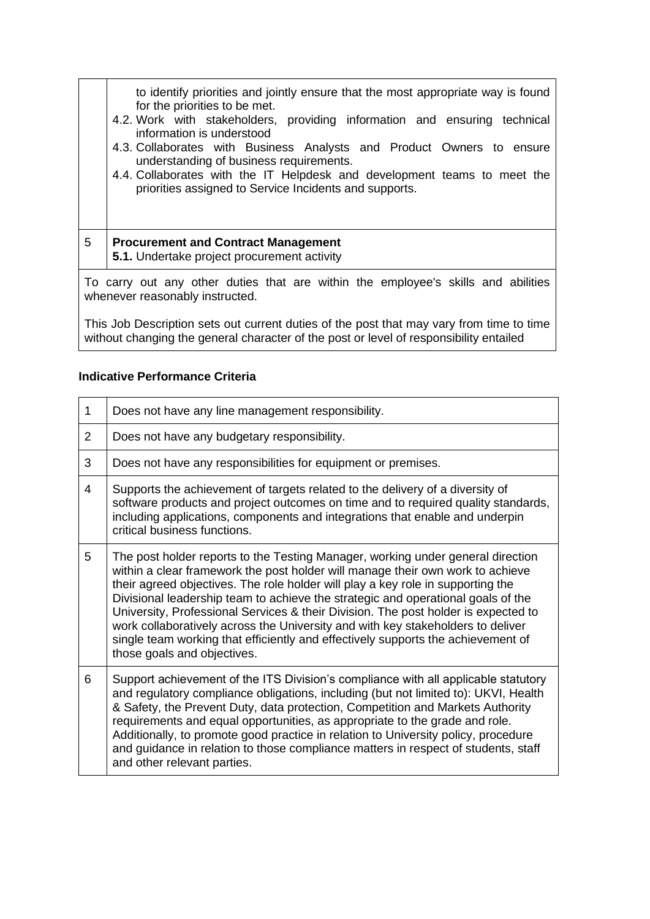|   | to identify priorities and jointly ensure that the most appropriate way is found<br>for the priorities to be met.<br>4.2. Work with stakeholders, providing information and ensuring technical<br>information is understood<br>4.3. Collaborates with Business Analysts and Product Owners to ensure<br>understanding of business requirements.<br>4.4. Collaborates with the IT Helpdesk and development teams to meet the<br>priorities assigned to Service Incidents and supports. |
|---|---------------------------------------------------------------------------------------------------------------------------------------------------------------------------------------------------------------------------------------------------------------------------------------------------------------------------------------------------------------------------------------------------------------------------------------------------------------------------------------|
| 5 | <b>Procurement and Contract Management</b><br>5.1. Undertake project procurement activity                                                                                                                                                                                                                                                                                                                                                                                             |
|   | To carry out any other duties that are within the employee's skills and abilities                                                                                                                                                                                                                                                                                                                                                                                                     |

To carry out any other duties that are within the employee's skills and abilities whenever reasonably instructed.

This Job Description sets out current duties of the post that may vary from time to time without changing the general character of the post or level of responsibility entailed

## **Indicative Performance Criteria**

| $\mathbf 1$    | Does not have any line management responsibility.                                                                                                                                                                                                                                                                                                                                                                                                                                                                                                                                                                                    |
|----------------|--------------------------------------------------------------------------------------------------------------------------------------------------------------------------------------------------------------------------------------------------------------------------------------------------------------------------------------------------------------------------------------------------------------------------------------------------------------------------------------------------------------------------------------------------------------------------------------------------------------------------------------|
| $\overline{2}$ | Does not have any budgetary responsibility.                                                                                                                                                                                                                                                                                                                                                                                                                                                                                                                                                                                          |
| 3              | Does not have any responsibilities for equipment or premises.                                                                                                                                                                                                                                                                                                                                                                                                                                                                                                                                                                        |
| 4              | Supports the achievement of targets related to the delivery of a diversity of<br>software products and project outcomes on time and to required quality standards,<br>including applications, components and integrations that enable and underpin<br>critical business functions.                                                                                                                                                                                                                                                                                                                                                   |
| 5              | The post holder reports to the Testing Manager, working under general direction<br>within a clear framework the post holder will manage their own work to achieve<br>their agreed objectives. The role holder will play a key role in supporting the<br>Divisional leadership team to achieve the strategic and operational goals of the<br>University, Professional Services & their Division. The post holder is expected to<br>work collaboratively across the University and with key stakeholders to deliver<br>single team working that efficiently and effectively supports the achievement of<br>those goals and objectives. |
| 6              | Support achievement of the ITS Division's compliance with all applicable statutory<br>and regulatory compliance obligations, including (but not limited to): UKVI, Health<br>& Safety, the Prevent Duty, data protection, Competition and Markets Authority<br>requirements and equal opportunities, as appropriate to the grade and role.<br>Additionally, to promote good practice in relation to University policy, procedure<br>and guidance in relation to those compliance matters in respect of students, staff<br>and other relevant parties.                                                                                |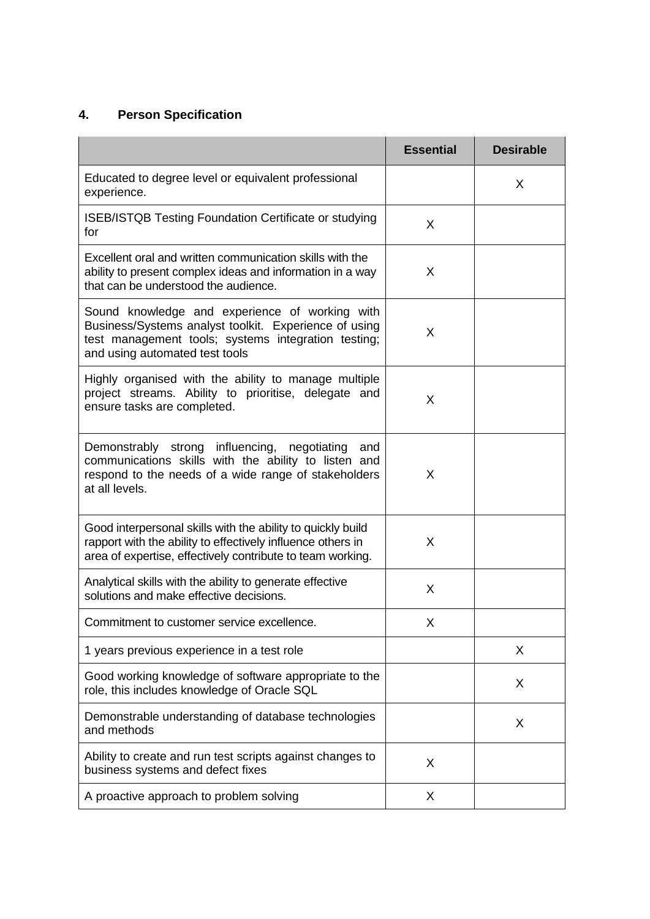# **4. Person Specification**

|                                                                                                                                                                                                  | <b>Essential</b> | <b>Desirable</b> |
|--------------------------------------------------------------------------------------------------------------------------------------------------------------------------------------------------|------------------|------------------|
| Educated to degree level or equivalent professional<br>experience.                                                                                                                               |                  | X                |
| ISEB/ISTQB Testing Foundation Certificate or studying<br>for                                                                                                                                     | X                |                  |
| Excellent oral and written communication skills with the<br>ability to present complex ideas and information in a way<br>that can be understood the audience.                                    | X                |                  |
| Sound knowledge and experience of working with<br>Business/Systems analyst toolkit. Experience of using<br>test management tools; systems integration testing;<br>and using automated test tools | X                |                  |
| Highly organised with the ability to manage multiple<br>project streams. Ability to prioritise, delegate and<br>ensure tasks are completed.                                                      | X                |                  |
| Demonstrably strong influencing, negotiating<br>and<br>communications skills with the ability to listen and<br>respond to the needs of a wide range of stakeholders<br>at all levels.            | X                |                  |
| Good interpersonal skills with the ability to quickly build<br>rapport with the ability to effectively influence others in<br>area of expertise, effectively contribute to team working.         | X                |                  |
| Analytical skills with the ability to generate effective<br>solutions and make effective decisions.                                                                                              | X                |                  |
| Commitment to customer service excellence.                                                                                                                                                       | X                |                  |
| 1 years previous experience in a test role                                                                                                                                                       |                  | X                |
| Good working knowledge of software appropriate to the<br>role, this includes knowledge of Oracle SQL                                                                                             |                  | X                |
| Demonstrable understanding of database technologies<br>and methods                                                                                                                               |                  | X                |
| Ability to create and run test scripts against changes to<br>business systems and defect fixes                                                                                                   | X                |                  |
| A proactive approach to problem solving                                                                                                                                                          | X                |                  |